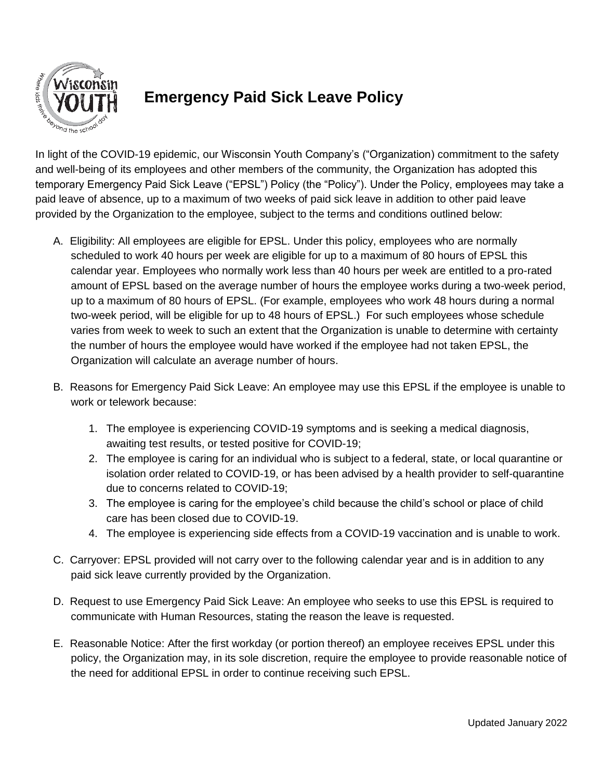

## **Emergency Paid Sick Leave Policy**

In light of the COVID-19 epidemic, our Wisconsin Youth Company's ("Organization) commitment to the safety and well-being of its employees and other members of the community, the Organization has adopted this temporary Emergency Paid Sick Leave ("EPSL") Policy (the "Policy"). Under the Policy, employees may take a paid leave of absence, up to a maximum of two weeks of paid sick leave in addition to other paid leave provided by the Organization to the employee, subject to the terms and conditions outlined below:

- A. Eligibility: All employees are eligible for EPSL. Under this policy, employees who are normally scheduled to work 40 hours per week are eligible for up to a maximum of 80 hours of EPSL this calendar year. Employees who normally work less than 40 hours per week are entitled to a pro-rated amount of EPSL based on the average number of hours the employee works during a two-week period, up to a maximum of 80 hours of EPSL. (For example, employees who work 48 hours during a normal two-week period, will be eligible for up to 48 hours of EPSL.) For such employees whose schedule varies from week to week to such an extent that the Organization is unable to determine with certainty the number of hours the employee would have worked if the employee had not taken EPSL, the Organization will calculate an average number of hours.
- B. Reasons for Emergency Paid Sick Leave: An employee may use this EPSL if the employee is unable to work or telework because:
	- 1. The employee is experiencing COVID-19 symptoms and is seeking a medical diagnosis, awaiting test results, or tested positive for COVID-19;
	- 2. The employee is caring for an individual who is subject to a federal, state, or local quarantine or isolation order related to COVID-19, or has been advised by a health provider to self-quarantine due to concerns related to COVID-19;
	- 3. The employee is caring for the employee's child because the child's school or place of child care has been closed due to COVID-19.
	- 4. The employee is experiencing side effects from a COVID-19 vaccination and is unable to work.
- C. Carryover: EPSL provided will not carry over to the following calendar year and is in addition to any paid sick leave currently provided by the Organization.
- D. Request to use Emergency Paid Sick Leave: An employee who seeks to use this EPSL is required to communicate with Human Resources, stating the reason the leave is requested.
- E. Reasonable Notice: After the first workday (or portion thereof) an employee receives EPSL under this policy, the Organization may, in its sole discretion, require the employee to provide reasonable notice of the need for additional EPSL in order to continue receiving such EPSL.